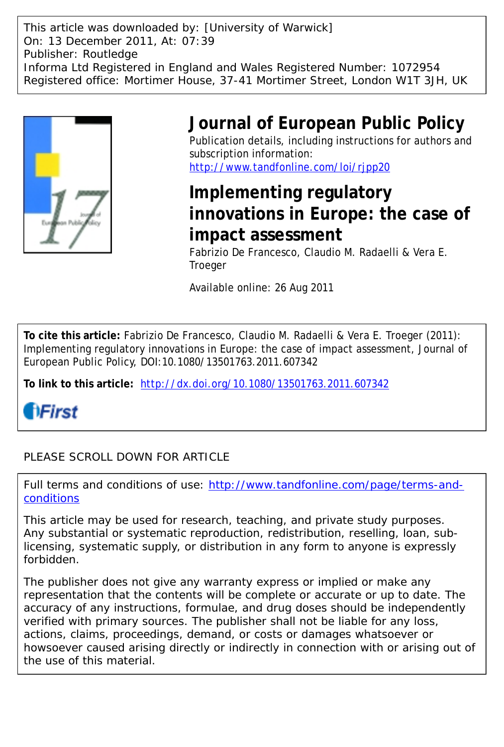This article was downloaded by: [University of Warwick] On: 13 December 2011, At: 07:39 Publisher: Routledge Informa Ltd Registered in England and Wales Registered Number: 1072954 Registered office: Mortimer House, 37-41 Mortimer Street, London W1T 3JH, UK



# **Journal of European Public Policy**

Publication details, including instructions for authors and subscription information: <http://www.tandfonline.com/loi/rjpp20>

# **Implementing regulatory innovations in Europe: the case of impact assessment**

Fabrizio De Francesco, Claudio M. Radaelli & Vera E. **Troeger** 

Available online: 26 Aug 2011

**To cite this article:** Fabrizio De Francesco, Claudio M. Radaelli & Vera E. Troeger (2011): Implementing regulatory innovations in Europe: the case of impact assessment, Journal of European Public Policy, DOI:10.1080/13501763.2011.607342

**To link to this article:** <http://dx.doi.org/10.1080/13501763.2011.607342>

*<u>AFirst</u>* 

# PLEASE SCROLL DOWN FOR ARTICLE

Full terms and conditions of use: [http://www.tandfonline.com/page/terms-and](http://www.tandfonline.com/page/terms-and-conditions)[conditions](http://www.tandfonline.com/page/terms-and-conditions)

This article may be used for research, teaching, and private study purposes. Any substantial or systematic reproduction, redistribution, reselling, loan, sublicensing, systematic supply, or distribution in any form to anyone is expressly forbidden.

The publisher does not give any warranty express or implied or make any representation that the contents will be complete or accurate or up to date. The accuracy of any instructions, formulae, and drug doses should be independently verified with primary sources. The publisher shall not be liable for any loss, actions, claims, proceedings, demand, or costs or damages whatsoever or howsoever caused arising directly or indirectly in connection with or arising out of the use of this material.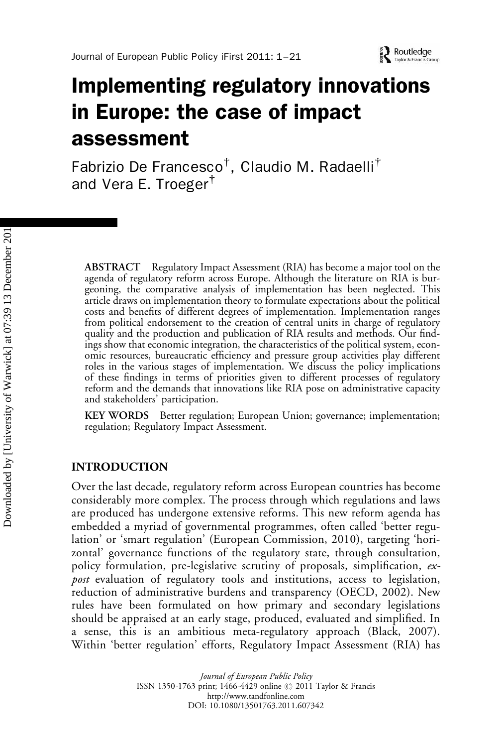# Implementing regulatory innovations in Europe: the case of impact assessment

Fabrizio De Francesco $^\dagger$ , Claudio M. Radaelli $^\dagger$ and Vera E. Troeger†

ABSTRACT Regulatory Impact Assessment (RIA) has become a major tool on the agenda of regulatory reform across Europe. Although the literature on RIA is burgeoning, the comparative analysis of implementation has been neglected. This article draws on implementation theory to formulate expectations about the political costs and benefits of different degrees of implementation. Implementation ranges from political endorsement to the creation of central units in charge of regulatory quality and the production and publication of RIA results and methods. Our findings show that economic integration, the characteristics of the political system, economic resources, bureaucratic efficiency and pressure group activities play different roles in the various stages of implementation. We discuss the policy implications of these findings in terms of priorities given to different processes of regulatory reform and the demands that innovations like RIA pose on administrative capacity and stakeholders' participation.

KEY WORDS Better regulation; European Union; governance; implementation; regulation; Regulatory Impact Assessment.

#### INTRODUCTION

Over the last decade, regulatory reform across European countries has become considerably more complex. The process through which regulations and laws are produced has undergone extensive reforms. This new reform agenda has embedded a myriad of governmental programmes, often called 'better regulation' or 'smart regulation' (European Commission, 2010), targeting 'horizontal' governance functions of the regulatory state, through consultation, policy formulation, pre-legislative scrutiny of proposals, simplification, expost evaluation of regulatory tools and institutions, access to legislation, reduction of administrative burdens and transparency (OECD, 2002). New rules have been formulated on how primary and secondary legislations should be appraised at an early stage, produced, evaluated and simplified. In a sense, this is an ambitious meta-regulatory approach (Black, 2007). Within 'better regulation' efforts, Regulatory Impact Assessment (RIA) has

> Journal of European Public Policy ISSN 1350-1763 print; 1466-4429 online @ 2011 Taylor & Francis http://www.tandfonline.com DOI: 10.1080/13501763.2011.607342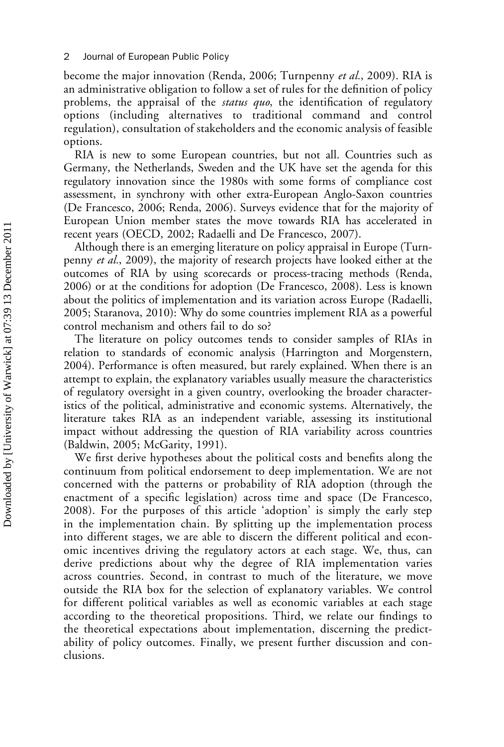#### 2 Journal of European Public Policy

become the major innovation (Renda, 2006; Turnpenny et al., 2009). RIA is an administrative obligation to follow a set of rules for the definition of policy problems, the appraisal of the *status quo*, the identification of regulatory options (including alternatives to traditional command and control regulation), consultation of stakeholders and the economic analysis of feasible options.

RIA is new to some European countries, but not all. Countries such as Germany, the Netherlands, Sweden and the UK have set the agenda for this regulatory innovation since the 1980s with some forms of compliance cost assessment, in synchrony with other extra-European Anglo-Saxon countries (De Francesco, 2006; Renda, 2006). Surveys evidence that for the majority of European Union member states the move towards RIA has accelerated in recent years (OECD, 2002; Radaelli and De Francesco, 2007).

Although there is an emerging literature on policy appraisal in Europe (Turnpenny et al., 2009), the majority of research projects have looked either at the outcomes of RIA by using scorecards or process-tracing methods (Renda, 2006) or at the conditions for adoption (De Francesco, 2008). Less is known about the politics of implementation and its variation across Europe (Radaelli, 2005; Staranova, 2010): Why do some countries implement RIA as a powerful control mechanism and others fail to do so?

The literature on policy outcomes tends to consider samples of RIAs in relation to standards of economic analysis (Harrington and Morgenstern, 2004). Performance is often measured, but rarely explained. When there is an attempt to explain, the explanatory variables usually measure the characteristics of regulatory oversight in a given country, overlooking the broader characteristics of the political, administrative and economic systems. Alternatively, the literature takes RIA as an independent variable, assessing its institutional impact without addressing the question of RIA variability across countries (Baldwin, 2005; McGarity, 1991).

We first derive hypotheses about the political costs and benefits along the continuum from political endorsement to deep implementation. We are not concerned with the patterns or probability of RIA adoption (through the enactment of a specific legislation) across time and space (De Francesco, 2008). For the purposes of this article 'adoption' is simply the early step in the implementation chain. By splitting up the implementation process into different stages, we are able to discern the different political and economic incentives driving the regulatory actors at each stage. We, thus, can derive predictions about why the degree of RIA implementation varies across countries. Second, in contrast to much of the literature, we move outside the RIA box for the selection of explanatory variables. We control for different political variables as well as economic variables at each stage according to the theoretical propositions. Third, we relate our findings to the theoretical expectations about implementation, discerning the predictability of policy outcomes. Finally, we present further discussion and conclusions.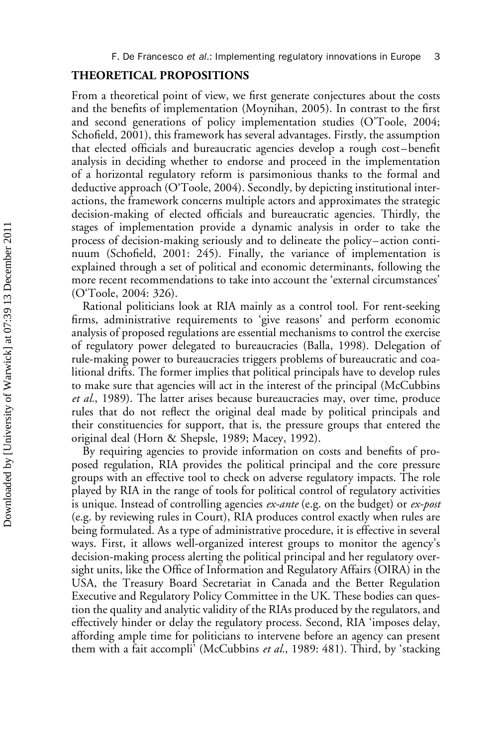#### THEORETICAL PROPOSITIONS

From a theoretical point of view, we first generate conjectures about the costs and the benefits of implementation (Moynihan, 2005). In contrast to the first and second generations of policy implementation studies (O'Toole, 2004; Schofield, 2001), this framework has several advantages. Firstly, the assumption that elected officials and bureaucratic agencies develop a rough cost –benefit analysis in deciding whether to endorse and proceed in the implementation of a horizontal regulatory reform is parsimonious thanks to the formal and deductive approach (O'Toole, 2004). Secondly, by depicting institutional interactions, the framework concerns multiple actors and approximates the strategic decision-making of elected officials and bureaucratic agencies. Thirdly, the stages of implementation provide a dynamic analysis in order to take the process of decision-making seriously and to delineate the policy – action continuum (Schofield, 2001: 245). Finally, the variance of implementation is explained through a set of political and economic determinants, following the more recent recommendations to take into account the 'external circumstances' (O'Toole, 2004: 326).

Rational politicians look at RIA mainly as a control tool. For rent-seeking firms, administrative requirements to 'give reasons' and perform economic analysis of proposed regulations are essential mechanisms to control the exercise of regulatory power delegated to bureaucracies (Balla, 1998). Delegation of rule-making power to bureaucracies triggers problems of bureaucratic and coalitional drifts. The former implies that political principals have to develop rules to make sure that agencies will act in the interest of the principal (McCubbins et al., 1989). The latter arises because bureaucracies may, over time, produce rules that do not reflect the original deal made by political principals and their constituencies for support, that is, the pressure groups that entered the original deal (Horn & Shepsle, 1989; Macey, 1992).

By requiring agencies to provide information on costs and benefits of proposed regulation, RIA provides the political principal and the core pressure groups with an effective tool to check on adverse regulatory impacts. The role played by RIA in the range of tools for political control of regulatory activities is unique. Instead of controlling agencies ex-ante (e.g. on the budget) or ex-post (e.g. by reviewing rules in Court), RIA produces control exactly when rules are being formulated. As a type of administrative procedure, it is effective in several ways. First, it allows well-organized interest groups to monitor the agency's decision-making process alerting the political principal and her regulatory oversight units, like the Office of Information and Regulatory Affairs (OIRA) in the USA, the Treasury Board Secretariat in Canada and the Better Regulation Executive and Regulatory Policy Committee in the UK. These bodies can question the quality and analytic validity of the RIAs produced by the regulators, and effectively hinder or delay the regulatory process. Second, RIA 'imposes delay, affording ample time for politicians to intervene before an agency can present them with a fait accompli' (McCubbins et al., 1989: 481). Third, by 'stacking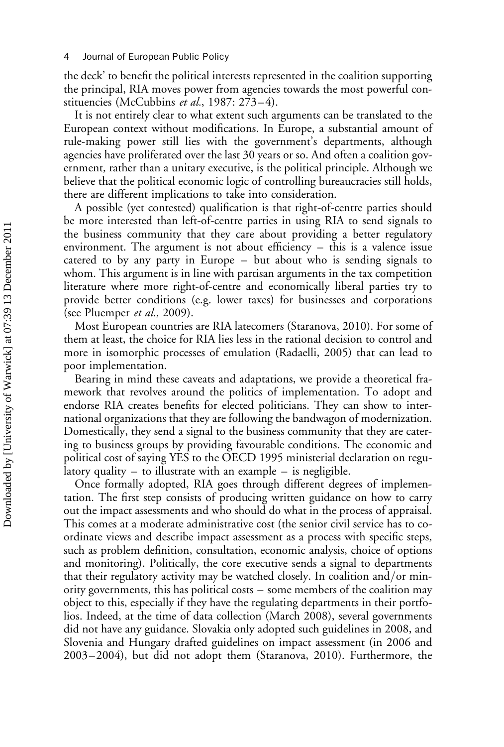the deck' to benefit the political interests represented in the coalition supporting the principal, RIA moves power from agencies towards the most powerful constituencies (McCubbins et al., 1987: 273–4).

It is not entirely clear to what extent such arguments can be translated to the European context without modifications. In Europe, a substantial amount of rule-making power still lies with the government's departments, although agencies have proliferated over the last 30 years or so. And often a coalition government, rather than a unitary executive, is the political principle. Although we believe that the political economic logic of controlling bureaucracies still holds, there are different implications to take into consideration.

A possible (yet contested) qualification is that right-of-centre parties should be more interested than left-of-centre parties in using RIA to send signals to the business community that they care about providing a better regulatory environment. The argument is not about efficiency – this is a valence issue catered to by any party in Europe – but about who is sending signals to whom. This argument is in line with partisan arguments in the tax competition literature where more right-of-centre and economically liberal parties try to provide better conditions (e.g. lower taxes) for businesses and corporations (see Pluemper et al., 2009).

Most European countries are RIA latecomers (Staranova, 2010). For some of them at least, the choice for RIA lies less in the rational decision to control and more in isomorphic processes of emulation (Radaelli, 2005) that can lead to poor implementation.

Bearing in mind these caveats and adaptations, we provide a theoretical framework that revolves around the politics of implementation. To adopt and endorse RIA creates benefits for elected politicians. They can show to international organizations that they are following the bandwagon of modernization. Domestically, they send a signal to the business community that they are catering to business groups by providing favourable conditions. The economic and political cost of saying YES to the OECD 1995 ministerial declaration on regulatory quality – to illustrate with an example – is negligible.

Once formally adopted, RIA goes through different degrees of implementation. The first step consists of producing written guidance on how to carry out the impact assessments and who should do what in the process of appraisal. This comes at a moderate administrative cost (the senior civil service has to coordinate views and describe impact assessment as a process with specific steps, such as problem definition, consultation, economic analysis, choice of options and monitoring). Politically, the core executive sends a signal to departments that their regulatory activity may be watched closely. In coalition and/or minority governments, this has political costs – some members of the coalition may object to this, especially if they have the regulating departments in their portfolios. Indeed, at the time of data collection (March 2008), several governments did not have any guidance. Slovakia only adopted such guidelines in 2008, and Slovenia and Hungary drafted guidelines on impact assessment (in 2006 and 2003 –2004), but did not adopt them (Staranova, 2010). Furthermore, the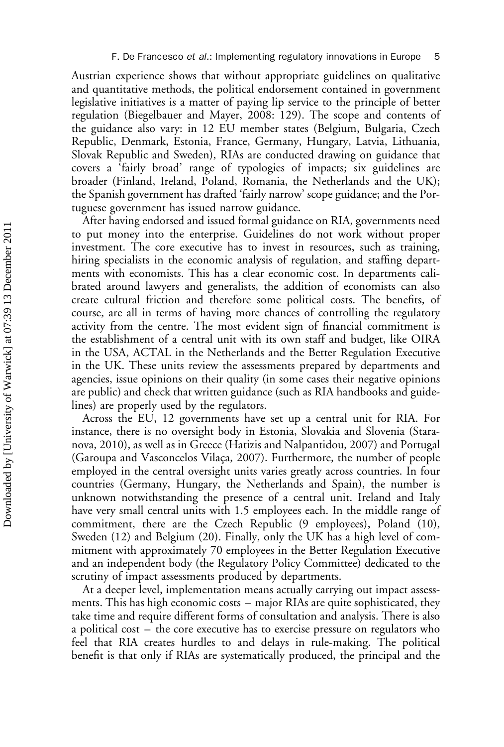Austrian experience shows that without appropriate guidelines on qualitative and quantitative methods, the political endorsement contained in government legislative initiatives is a matter of paying lip service to the principle of better regulation (Biegelbauer and Mayer, 2008: 129). The scope and contents of the guidance also vary: in 12 EU member states (Belgium, Bulgaria, Czech Republic, Denmark, Estonia, France, Germany, Hungary, Latvia, Lithuania, Slovak Republic and Sweden), RIAs are conducted drawing on guidance that covers a 'fairly broad' range of typologies of impacts; six guidelines are broader (Finland, Ireland, Poland, Romania, the Netherlands and the UK); the Spanish government has drafted 'fairly narrow' scope guidance; and the Portuguese government has issued narrow guidance.

After having endorsed and issued formal guidance on RIA, governments need to put money into the enterprise. Guidelines do not work without proper investment. The core executive has to invest in resources, such as training, hiring specialists in the economic analysis of regulation, and staffing departments with economists. This has a clear economic cost. In departments calibrated around lawyers and generalists, the addition of economists can also create cultural friction and therefore some political costs. The benefits, of course, are all in terms of having more chances of controlling the regulatory activity from the centre. The most evident sign of financial commitment is the establishment of a central unit with its own staff and budget, like OIRA in the USA, ACTAL in the Netherlands and the Better Regulation Executive in the UK. These units review the assessments prepared by departments and agencies, issue opinions on their quality (in some cases their negative opinions are public) and check that written guidance (such as RIA handbooks and guidelines) are properly used by the regulators.

Across the EU, 12 governments have set up a central unit for RIA. For instance, there is no oversight body in Estonia, Slovakia and Slovenia (Staranova, 2010), as well as in Greece (Hatizis and Nalpantidou, 2007) and Portugal (Garoupa and Vasconcelos Vilaça, 2007). Furthermore, the number of people employed in the central oversight units varies greatly across countries. In four countries (Germany, Hungary, the Netherlands and Spain), the number is unknown notwithstanding the presence of a central unit. Ireland and Italy have very small central units with 1.5 employees each. In the middle range of commitment, there are the Czech Republic (9 employees), Poland (10), Sweden (12) and Belgium (20). Finally, only the UK has a high level of commitment with approximately 70 employees in the Better Regulation Executive and an independent body (the Regulatory Policy Committee) dedicated to the scrutiny of impact assessments produced by departments.

At a deeper level, implementation means actually carrying out impact assessments. This has high economic costs – major RIAs are quite sophisticated, they take time and require different forms of consultation and analysis. There is also a political cost – the core executive has to exercise pressure on regulators who feel that RIA creates hurdles to and delays in rule-making. The political benefit is that only if RIAs are systematically produced, the principal and the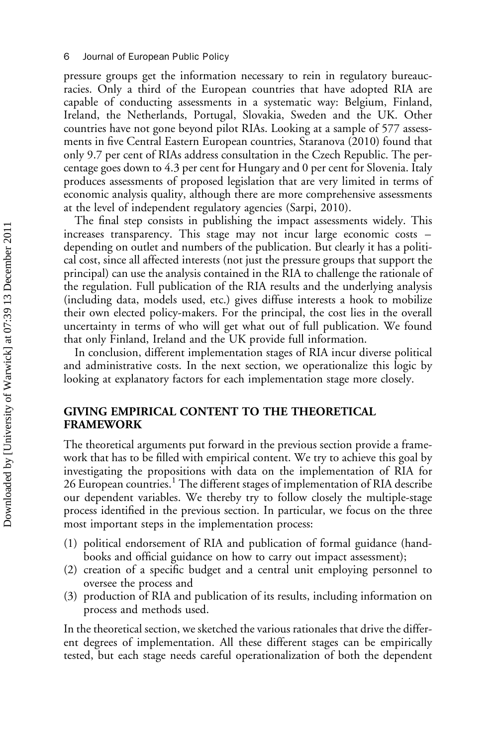pressure groups get the information necessary to rein in regulatory bureaucracies. Only a third of the European countries that have adopted RIA are capable of conducting assessments in a systematic way: Belgium, Finland, Ireland, the Netherlands, Portugal, Slovakia, Sweden and the UK. Other countries have not gone beyond pilot RIAs. Looking at a sample of 577 assessments in five Central Eastern European countries, Staranova (2010) found that only 9.7 per cent of RIAs address consultation in the Czech Republic. The percentage goes down to 4.3 per cent for Hungary and 0 per cent for Slovenia. Italy produces assessments of proposed legislation that are very limited in terms of economic analysis quality, although there are more comprehensive assessments at the level of independent regulatory agencies (Sarpi, 2010).

The final step consists in publishing the impact assessments widely. This increases transparency. This stage may not incur large economic costs – depending on outlet and numbers of the publication. But clearly it has a political cost, since all affected interests (not just the pressure groups that support the principal) can use the analysis contained in the RIA to challenge the rationale of the regulation. Full publication of the RIA results and the underlying analysis (including data, models used, etc.) gives diffuse interests a hook to mobilize their own elected policy-makers. For the principal, the cost lies in the overall uncertainty in terms of who will get what out of full publication. We found that only Finland, Ireland and the UK provide full information.

In conclusion, different implementation stages of RIA incur diverse political and administrative costs. In the next section, we operationalize this logic by looking at explanatory factors for each implementation stage more closely.

### GIVING EMPIRICAL CONTENT TO THE THEORETICAL FRAMEWORK

The theoretical arguments put forward in the previous section provide a framework that has to be filled with empirical content. We try to achieve this goal by investigating the propositions with data on the implementation of RIA for 26 European countries.<sup>1</sup> The different stages of implementation of RIA describe our dependent variables. We thereby try to follow closely the multiple-stage process identified in the previous section. In particular, we focus on the three most important steps in the implementation process:

- (1) political endorsement of RIA and publication of formal guidance (handbooks and official guidance on how to carry out impact assessment);
- (2) creation of a specific budget and a central unit employing personnel to oversee the process and
- (3) production of RIA and publication of its results, including information on process and methods used.

In the theoretical section, we sketched the various rationales that drive the different degrees of implementation. All these different stages can be empirically tested, but each stage needs careful operationalization of both the dependent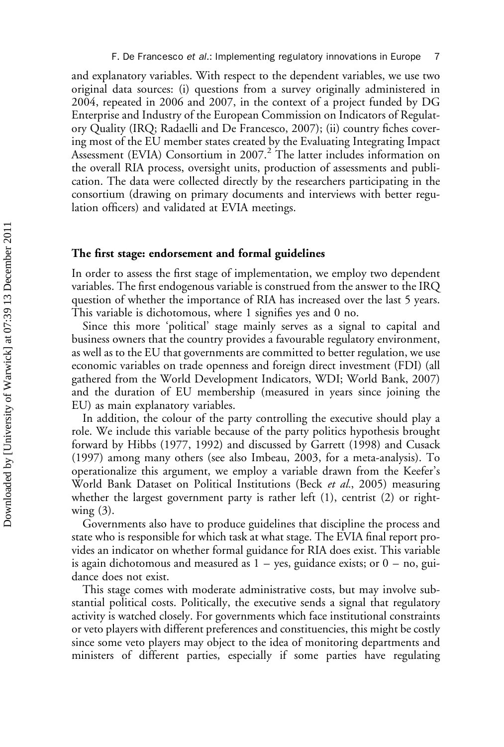and explanatory variables. With respect to the dependent variables, we use two original data sources: (i) questions from a survey originally administered in 2004, repeated in 2006 and 2007, in the context of a project funded by DG Enterprise and Industry of the European Commission on Indicators of Regulatory Quality (IRQ; Radaelli and De Francesco, 2007); (ii) country fiches covering most of the EU member states created by the Evaluating Integrating Impact Assessment (EVIA) Consortium in 2007.<sup>2</sup> The latter includes information on the overall RIA process, oversight units, production of assessments and publication. The data were collected directly by the researchers participating in the consortium (drawing on primary documents and interviews with better regulation officers) and validated at EVIA meetings.

#### The first stage: endorsement and formal guidelines

In order to assess the first stage of implementation, we employ two dependent variables. The first endogenous variable is construed from the answer to the IRQ question of whether the importance of RIA has increased over the last 5 years. This variable is dichotomous, where 1 signifies yes and 0 no.

Since this more 'political' stage mainly serves as a signal to capital and business owners that the country provides a favourable regulatory environment, as well as to the EU that governments are committed to better regulation, we use economic variables on trade openness and foreign direct investment (FDI) (all gathered from the World Development Indicators, WDI; World Bank, 2007) and the duration of EU membership (measured in years since joining the EU) as main explanatory variables.

In addition, the colour of the party controlling the executive should play a role. We include this variable because of the party politics hypothesis brought forward by Hibbs (1977, 1992) and discussed by Garrett (1998) and Cusack (1997) among many others (see also Imbeau, 2003, for a meta-analysis). To operationalize this argument, we employ a variable drawn from the Keefer's World Bank Dataset on Political Institutions (Beck et al., 2005) measuring whether the largest government party is rather left (1), centrist (2) or rightwing  $(3)$ .

Governments also have to produce guidelines that discipline the process and state who is responsible for which task at what stage. The EVIA final report provides an indicator on whether formal guidance for RIA does exist. This variable is again dichotomous and measured as  $1 - y$ es, guidance exists; or  $0 - no$ , guidance does not exist.

This stage comes with moderate administrative costs, but may involve substantial political costs. Politically, the executive sends a signal that regulatory activity is watched closely. For governments which face institutional constraints or veto players with different preferences and constituencies, this might be costly since some veto players may object to the idea of monitoring departments and ministers of different parties, especially if some parties have regulating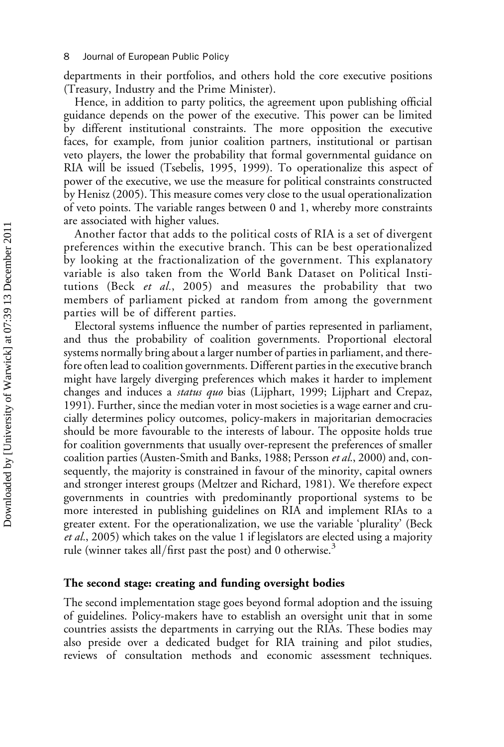departments in their portfolios, and others hold the core executive positions (Treasury, Industry and the Prime Minister).

Hence, in addition to party politics, the agreement upon publishing official guidance depends on the power of the executive. This power can be limited by different institutional constraints. The more opposition the executive faces, for example, from junior coalition partners, institutional or partisan veto players, the lower the probability that formal governmental guidance on RIA will be issued (Tsebelis, 1995, 1999). To operationalize this aspect of power of the executive, we use the measure for political constraints constructed by Henisz (2005). This measure comes very close to the usual operationalization of veto points. The variable ranges between 0 and 1, whereby more constraints are associated with higher values.

Another factor that adds to the political costs of RIA is a set of divergent preferences within the executive branch. This can be best operationalized by looking at the fractionalization of the government. This explanatory variable is also taken from the World Bank Dataset on Political Institutions (Beck et al., 2005) and measures the probability that two members of parliament picked at random from among the government parties will be of different parties.

Electoral systems influence the number of parties represented in parliament, and thus the probability of coalition governments. Proportional electoral systems normally bring about a larger number of parties in parliament, and therefore often lead to coalition governments. Different parties in the executive branch might have largely diverging preferences which makes it harder to implement changes and induces a *status quo* bias (Lijphart, 1999; Lijphart and Crepaz, 1991). Further, since the median voter in most societies is a wage earner and crucially determines policy outcomes, policy-makers in majoritarian democracies should be more favourable to the interests of labour. The opposite holds true for coalition governments that usually over-represent the preferences of smaller coalition parties (Austen-Smith and Banks, 1988; Persson et al., 2000) and, consequently, the majority is constrained in favour of the minority, capital owners and stronger interest groups (Meltzer and Richard, 1981). We therefore expect governments in countries with predominantly proportional systems to be more interested in publishing guidelines on RIA and implement RIAs to a greater extent. For the operationalization, we use the variable 'plurality' (Beck et al., 2005) which takes on the value 1 if legislators are elected using a majority rule (winner takes all/first past the post) and 0 otherwise. $3$ 

#### The second stage: creating and funding oversight bodies

The second implementation stage goes beyond formal adoption and the issuing of guidelines. Policy-makers have to establish an oversight unit that in some countries assists the departments in carrying out the RIAs. These bodies may also preside over a dedicated budget for RIA training and pilot studies, reviews of consultation methods and economic assessment techniques.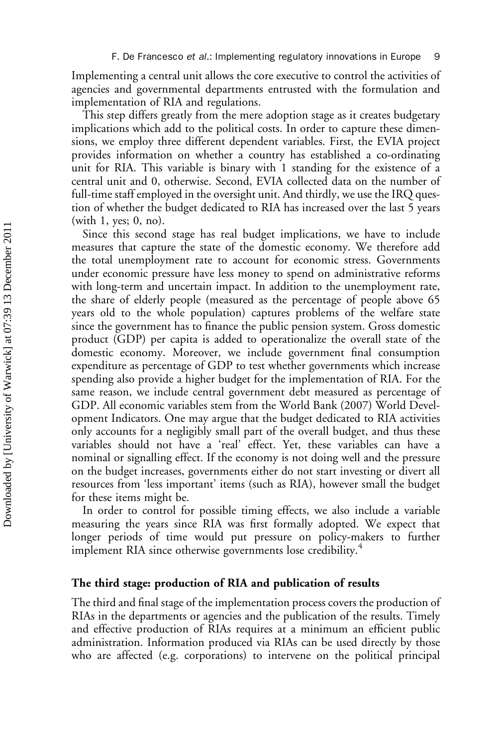Implementing a central unit allows the core executive to control the activities of agencies and governmental departments entrusted with the formulation and implementation of RIA and regulations.

This step differs greatly from the mere adoption stage as it creates budgetary implications which add to the political costs. In order to capture these dimensions, we employ three different dependent variables. First, the EVIA project provides information on whether a country has established a co-ordinating unit for RIA. This variable is binary with 1 standing for the existence of a central unit and 0, otherwise. Second, EVIA collected data on the number of full-time staff employed in the oversight unit. And thirdly, we use the IRQ question of whether the budget dedicated to RIA has increased over the last 5 years (with 1, yes; 0, no).

Since this second stage has real budget implications, we have to include measures that capture the state of the domestic economy. We therefore add the total unemployment rate to account for economic stress. Governments under economic pressure have less money to spend on administrative reforms with long-term and uncertain impact. In addition to the unemployment rate, the share of elderly people (measured as the percentage of people above 65 years old to the whole population) captures problems of the welfare state since the government has to finance the public pension system. Gross domestic product (GDP) per capita is added to operationalize the overall state of the domestic economy. Moreover, we include government final consumption expenditure as percentage of GDP to test whether governments which increase spending also provide a higher budget for the implementation of RIA. For the same reason, we include central government debt measured as percentage of GDP. All economic variables stem from the World Bank (2007) World Development Indicators. One may argue that the budget dedicated to RIA activities only accounts for a negligibly small part of the overall budget, and thus these variables should not have a 'real' effect. Yet, these variables can have a nominal or signalling effect. If the economy is not doing well and the pressure on the budget increases, governments either do not start investing or divert all resources from 'less important' items (such as RIA), however small the budget for these items might be.

In order to control for possible timing effects, we also include a variable measuring the years since RIA was first formally adopted. We expect that longer periods of time would put pressure on policy-makers to further implement RIA since otherwise governments lose credibility.<sup>4</sup>

#### The third stage: production of RIA and publication of results

The third and final stage of the implementation process covers the production of RIAs in the departments or agencies and the publication of the results. Timely and effective production of RIAs requires at a minimum an efficient public administration. Information produced via RIAs can be used directly by those who are affected (e.g. corporations) to intervene on the political principal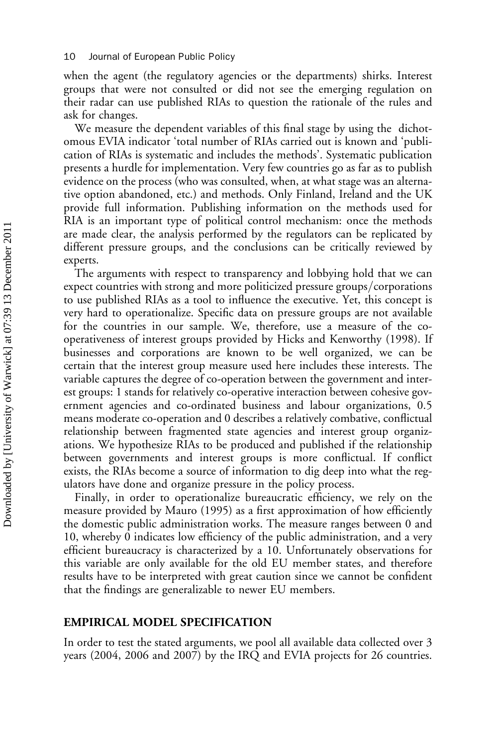when the agent (the regulatory agencies or the departments) shirks. Interest groups that were not consulted or did not see the emerging regulation on their radar can use published RIAs to question the rationale of the rules and ask for changes.

We measure the dependent variables of this final stage by using the dichotomous EVIA indicator 'total number of RIAs carried out is known and 'publication of RIAs is systematic and includes the methods'. Systematic publication presents a hurdle for implementation. Very few countries go as far as to publish evidence on the process (who was consulted, when, at what stage was an alternative option abandoned, etc.) and methods. Only Finland, Ireland and the UK provide full information. Publishing information on the methods used for RIA is an important type of political control mechanism: once the methods are made clear, the analysis performed by the regulators can be replicated by different pressure groups, and the conclusions can be critically reviewed by experts.

The arguments with respect to transparency and lobbying hold that we can expect countries with strong and more politicized pressure groups/corporations to use published RIAs as a tool to influence the executive. Yet, this concept is very hard to operationalize. Specific data on pressure groups are not available for the countries in our sample. We, therefore, use a measure of the cooperativeness of interest groups provided by Hicks and Kenworthy (1998). If businesses and corporations are known to be well organized, we can be certain that the interest group measure used here includes these interests. The variable captures the degree of co-operation between the government and interest groups: 1 stands for relatively co-operative interaction between cohesive government agencies and co-ordinated business and labour organizations, 0.5 means moderate co-operation and 0 describes a relatively combative, conflictual relationship between fragmented state agencies and interest group organizations. We hypothesize RIAs to be produced and published if the relationship between governments and interest groups is more conflictual. If conflict exists, the RIAs become a source of information to dig deep into what the regulators have done and organize pressure in the policy process.

Finally, in order to operationalize bureaucratic efficiency, we rely on the measure provided by Mauro (1995) as a first approximation of how efficiently the domestic public administration works. The measure ranges between 0 and 10, whereby 0 indicates low efficiency of the public administration, and a very efficient bureaucracy is characterized by a 10. Unfortunately observations for this variable are only available for the old EU member states, and therefore results have to be interpreted with great caution since we cannot be confident that the findings are generalizable to newer EU members.

#### EMPIRICAL MODEL SPECIFICATION

In order to test the stated arguments, we pool all available data collected over 3 years (2004, 2006 and 2007) by the IRQ and EVIA projects for 26 countries.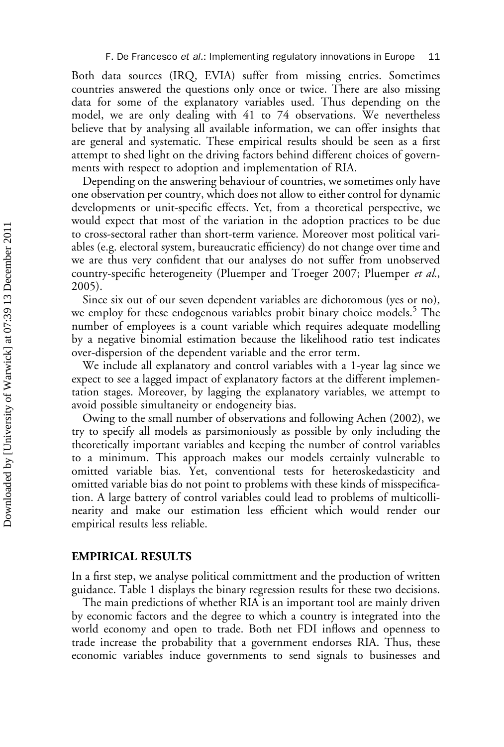Both data sources (IRQ, EVIA) suffer from missing entries. Sometimes countries answered the questions only once or twice. There are also missing data for some of the explanatory variables used. Thus depending on the model, we are only dealing with 41 to 74 observations. We nevertheless believe that by analysing all available information, we can offer insights that are general and systematic. These empirical results should be seen as a first attempt to shed light on the driving factors behind different choices of governments with respect to adoption and implementation of RIA.

Depending on the answering behaviour of countries, we sometimes only have one observation per country, which does not allow to either control for dynamic developments or unit-specific effects. Yet, from a theoretical perspective, we would expect that most of the variation in the adoption practices to be due to cross-sectoral rather than short-term varience. Moreover most political variables (e.g. electoral system, bureaucratic efficiency) do not change over time and we are thus very confident that our analyses do not suffer from unobserved country-specific heterogeneity (Pluemper and Troeger 2007; Pluemper et al., 2005).

Since six out of our seven dependent variables are dichotomous (yes or no), we employ for these endogenous variables probit binary choice models.<sup>5</sup> The number of employees is a count variable which requires adequate modelling by a negative binomial estimation because the likelihood ratio test indicates over-dispersion of the dependent variable and the error term.

We include all explanatory and control variables with a 1-year lag since we expect to see a lagged impact of explanatory factors at the different implementation stages. Moreover, by lagging the explanatory variables, we attempt to avoid possible simultaneity or endogeneity bias.

Owing to the small number of observations and following Achen (2002), we try to specify all models as parsimoniously as possible by only including the theoretically important variables and keeping the number of control variables to a minimum. This approach makes our models certainly vulnerable to omitted variable bias. Yet, conventional tests for heteroskedasticity and omitted variable bias do not point to problems with these kinds of misspecification. A large battery of control variables could lead to problems of multicollinearity and make our estimation less efficient which would render our empirical results less reliable.

#### EMPIRICAL RESULTS

In a first step, we analyse political committment and the production of written guidance. Table 1 displays the binary regression results for these two decisions.

The main predictions of whether RIA is an important tool are mainly driven by economic factors and the degree to which a country is integrated into the world economy and open to trade. Both net FDI inflows and openness to trade increase the probability that a government endorses RIA. Thus, these economic variables induce governments to send signals to businesses and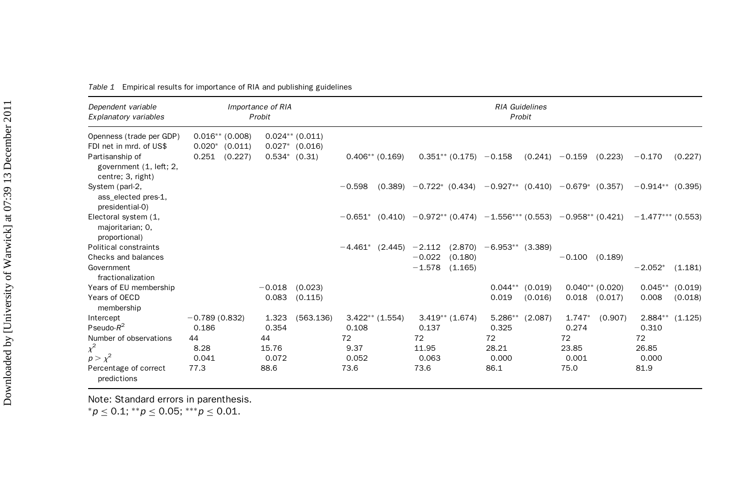| Dependent variable<br>Explanatory variables                     |                                          | Importance of RIA<br>Probit |                                       | <b>RIA Guidelines</b><br>Probit |                   |          |                           |                                                                           |         |                  |                   |                     |                   |  |
|-----------------------------------------------------------------|------------------------------------------|-----------------------------|---------------------------------------|---------------------------------|-------------------|----------|---------------------------|---------------------------------------------------------------------------|---------|------------------|-------------------|---------------------|-------------------|--|
| Openness (trade per GDP)<br>FDI net in mrd. of US\$             | $0.016**$ (0.008)<br>$0.020*$<br>(0.011) |                             | $0.024**$ (0.011)<br>$0.027*$ (0.016) |                                 |                   |          |                           |                                                                           |         |                  |                   |                     |                   |  |
| Partisanship of<br>government (1, left; 2,<br>centre; 3, right) | (0.227)<br>0.251                         |                             | $0.534*$ $(0.31)$                     |                                 | $0.406**$ (0.169) |          | $0.351**$ (0.175) - 0.158 |                                                                           |         | $(0.241) -0.159$ | (0.223)           | $-0.170$            | (0.227)           |  |
| System (parl-2,<br>ass elected pres-1,<br>presidential-0)       |                                          |                             |                                       | $-0.598$                        |                   |          |                           | $(0.389)$ $-0.722$ * $(0.434)$ $-0.927$ ** $(0.410)$ $-0.679$ * $(0.357)$ |         |                  |                   | $-0.914**$ (0.395)  |                   |  |
| Electoral system (1,<br>majoritarian; 0,<br>proportional)       |                                          |                             |                                       | $-0.651*$                       |                   |          |                           | $(0.410)$ $-0.972**$ (0.474) $-1.556***$ (0.553) $-0.958**$ (0.421)       |         |                  |                   | $-1.477***$ (0.553) |                   |  |
| Political constraints                                           |                                          |                             |                                       | $-4.461*$                       | (2.445)           | $-2.112$ |                           | $(2.870)$ -6.953** (3.389)                                                |         |                  |                   |                     |                   |  |
| Checks and balances                                             |                                          |                             |                                       |                                 |                   | $-0.022$ | (0.180)                   |                                                                           |         | $-0.100$ (0.189) |                   |                     |                   |  |
| Government<br>fractionalization                                 |                                          |                             |                                       |                                 |                   | $-1.578$ | (1.165)                   |                                                                           |         |                  |                   | $-2.052*$           | (1.181)           |  |
| Years of EU membership                                          |                                          | $-0.018$                    | (0.023)                               |                                 |                   |          |                           | $0.044**$                                                                 | (0.019) |                  | $0.040**$ (0.020) | $0.045**$           | (0.019)           |  |
| Years of OECD<br>membership                                     |                                          | 0.083                       | (0.115)                               |                                 |                   |          |                           | 0.019                                                                     | (0.016) |                  | $0.018$ $(0.017)$ | 0.008               | (0.018)           |  |
| Intercept                                                       | $-0.789(0.832)$                          | 1.323                       | (563.136)                             |                                 | $3.422**$ (1.554) |          | $3.419**$ (1.674)         | $5.286**$                                                                 | (2.087) | $1.747*$         | (0.907)           |                     | $2.884**$ (1.125) |  |
| Pseudo- $R^2$                                                   | 0.186                                    | 0.354                       |                                       | 0.108                           |                   | 0.137    |                           | 0.325                                                                     |         | 0.274            |                   | 0.310               |                   |  |
| Number of observations                                          | 44                                       | 44                          |                                       | 72                              |                   | 72       |                           | 72                                                                        |         | 72               |                   | 72                  |                   |  |
| $\chi^2$                                                        | 8.28                                     | 15.76                       |                                       | 9.37                            |                   | 11.95    |                           | 28.21                                                                     |         | 23.85            |                   | 26.85               |                   |  |
| $p > \chi^2$                                                    | 0.041                                    | 0.072                       |                                       | 0.052                           |                   | 0.063    |                           | 0.000                                                                     |         | 0.001            |                   | 0.000               |                   |  |
| Percentage of correct<br>predictions                            | 77.3                                     | 88.6                        |                                       | 73.6                            |                   | 73.6     |                           | 86.1                                                                      |         | 75.0             |                   | 81.9                |                   |  |

Table 1 Empirical results for importance of RIA and publishing guidelines

Note: Standard errors in parenthesis.

 ${}^*p \leq 0.1;$   ${}^{**}p \leq 0.05;$   ${}^{***}p \leq 0.01.$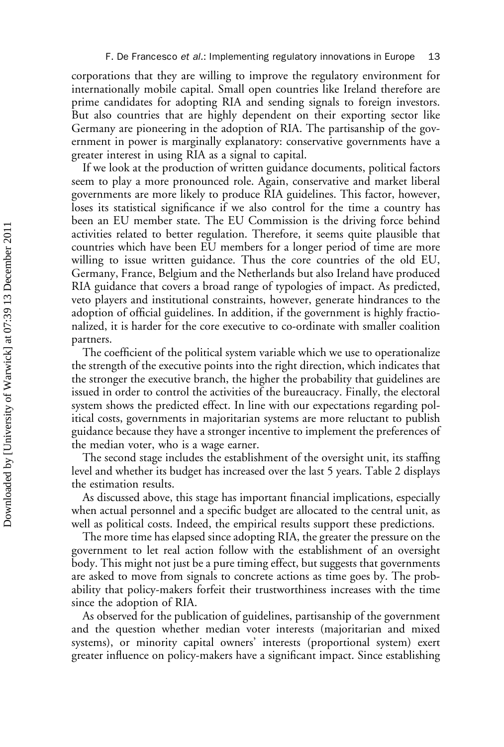corporations that they are willing to improve the regulatory environment for internationally mobile capital. Small open countries like Ireland therefore are prime candidates for adopting RIA and sending signals to foreign investors. But also countries that are highly dependent on their exporting sector like Germany are pioneering in the adoption of RIA. The partisanship of the government in power is marginally explanatory: conservative governments have a greater interest in using RIA as a signal to capital.

If we look at the production of written guidance documents, political factors seem to play a more pronounced role. Again, conservative and market liberal governments are more likely to produce RIA guidelines. This factor, however, loses its statistical significance if we also control for the time a country has been an EU member state. The EU Commission is the driving force behind activities related to better regulation. Therefore, it seems quite plausible that countries which have been EU members for a longer period of time are more willing to issue written guidance. Thus the core countries of the old EU, Germany, France, Belgium and the Netherlands but also Ireland have produced RIA guidance that covers a broad range of typologies of impact. As predicted, veto players and institutional constraints, however, generate hindrances to the adoption of official guidelines. In addition, if the government is highly fractionalized, it is harder for the core executive to co-ordinate with smaller coalition partners.

The coefficient of the political system variable which we use to operationalize the strength of the executive points into the right direction, which indicates that the stronger the executive branch, the higher the probability that guidelines are issued in order to control the activities of the bureaucracy. Finally, the electoral system shows the predicted effect. In line with our expectations regarding political costs, governments in majoritarian systems are more reluctant to publish guidance because they have a stronger incentive to implement the preferences of the median voter, who is a wage earner.

The second stage includes the establishment of the oversight unit, its staffing level and whether its budget has increased over the last 5 years. Table 2 displays the estimation results.

As discussed above, this stage has important financial implications, especially when actual personnel and a specific budget are allocated to the central unit, as well as political costs. Indeed, the empirical results support these predictions.

The more time has elapsed since adopting RIA, the greater the pressure on the government to let real action follow with the establishment of an oversight body. This might not just be a pure timing effect, but suggests that governments are asked to move from signals to concrete actions as time goes by. The probability that policy-makers forfeit their trustworthiness increases with the time since the adoption of RIA.

As observed for the publication of guidelines, partisanship of the government and the question whether median voter interests (majoritarian and mixed systems), or minority capital owners' interests (proportional system) exert greater influence on policy-makers have a significant impact. Since establishing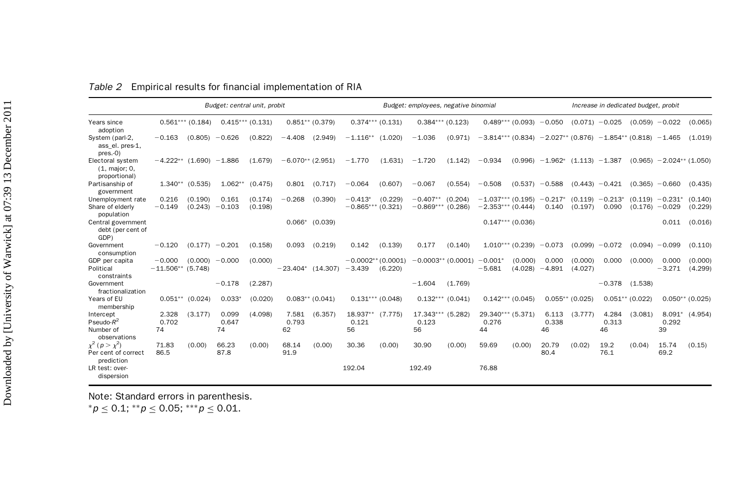|                                                             | Budget: central unit, probit    |                    |                           |                    |                      |                   | Budget: employees, negative binomial |                    |                                  |                      |                                            |                    | Increase in dedicated budget, probit           |                    |                      |                   |                               |                    |
|-------------------------------------------------------------|---------------------------------|--------------------|---------------------------|--------------------|----------------------|-------------------|--------------------------------------|--------------------|----------------------------------|----------------------|--------------------------------------------|--------------------|------------------------------------------------|--------------------|----------------------|-------------------|-------------------------------|--------------------|
| Years since<br>adoption                                     |                                 | $0.561***$ (0.184) |                           | $0.415***$ (0.131) |                      | $0.851**$ (0.379) |                                      | $0.374***$ (0.131) |                                  | $0.384***$ (0.123)   |                                            | $0.489***$ (0.093) | $-0.050$                                       |                    | $(0.071) -0.025$     | (0.059)           | $-0.022$                      | (0.065)            |
| System (parl-2,<br>ass el. pres-1,<br>$pres. -0)$           | $-0.163$                        | (0.805)            | $-0.626$                  | (0.822)            | $-4.408$             | (2.949)           | $-1.116**$                           | (1.020)            | $-1.036$                         | (0.971)              | $-3.814***$ (0.834)                        |                    | $-2.027**$ (0.876) $-1.854**$ (0.818) $-1.465$ |                    |                      |                   |                               | (1.019)            |
| Electoral system<br>$(1, \text{major}; 0,$<br>proportional) | $-4.222**$ (1.690) $-1.886$     |                    |                           | (1.679)            | $-6.070**$ (2.951)   |                   | $-1.770$                             | (1.631)            | $-1.720$                         | (1.142)              | $-0.934$                                   |                    | $(0.996) -1.962^*$                             | $(1.113) -1.387$   |                      |                   | $(0.965) -2.024**$ (1.050)    |                    |
| Partisanship of<br>government                               | $1.340**$                       | (0.535)            | $1.062**$                 | (0.475)            | 0.801                | (0.717)           | $-0.064$                             | (0.607)            | $-0.067$                         | (0.554)              | $-0.508$                                   | (0.537)            | $-0.588$                                       |                    | $(0.443) - 0.421$    | (0.365)           | $-0.660$                      | (0.435)            |
| Unemployment rate<br>Share of elderly<br>population         | 0.216<br>$-0.149$               | (0.190)            | 0.161<br>$(0.243) -0.103$ | (0.174)<br>(0.198) | $-0.268$             | (0.390)           | $-0.413*$<br>$-0.865***$ (0.321)     | (0.229)            | $-0.407**$<br>$-0.869***$        | (0.204)<br>(0.286)   | $-1.037***$ (0.195)<br>$-2.353***$ (0.444) |                    | $-0.217*$<br>0.140                             | (0.119)<br>(0.197) | $-0.213$<br>0.090    | (0.176)           | $(0.119) -0.231*$<br>$-0.029$ | (0.140)<br>(0.229) |
| Central government<br>debt (per cent of<br>GDP)             |                                 |                    |                           |                    | $0.066*$             | (0.039)           |                                      |                    |                                  |                      |                                            | $0.147***$ (0.036) |                                                |                    |                      |                   | 0.011                         | (0.016)            |
| Government<br>consumption                                   | $-0.120$                        | (0.177)            | $-0.201$                  | (0.158)            | 0.093                | (0.219)           | 0.142                                | (0.139)            | 0.177                            | (0.140)              |                                            | $1.010***$ (0.239) | $-0.073$                                       | (0.099)            | $-0.072$             | (0.094)           | $-0.099$                      | (0.110)            |
| GDP per capita<br>Political<br>constraints                  | $-0.000$<br>$-11.506**$ (5.748) | (0.000)            | $-0.000$                  | (0.000)            | $-23.404*$ (14.307)  |                   | $-0.0002**$ (0.0001)<br>$-3.439$     | (6.220)            |                                  | $-0.0003**$ (0.0001) | $-0.001*$<br>$-5.681$                      | (0.000)<br>(4.028) | 0.000<br>$-4.891$                              | (0.000)<br>(4.027) | 0.000                | (0.000)           | 0.000<br>$-3.271$             | (0.000)<br>(4.299) |
| Government<br>fractionalization                             |                                 |                    | $-0.178$                  | (2.287)            |                      |                   |                                      |                    | $-1.604$                         | (1.769)              |                                            |                    |                                                |                    | $-0.378$             | (1.538)           |                               |                    |
| Years of EU<br>membership                                   | $0.051**$                       | (0.024)            | $0.033*$                  | (0.020)            |                      | $0.083**$ (0.041) |                                      | $0.131***$ (0.048) |                                  | $0.132***$ (0.041)   |                                            | $0.142***(0.045)$  |                                                | $0.055**$ (0.025)  |                      | $0.051**$ (0.022) |                               | $0.050**$ (0.025)  |
| Intercept<br>Pseudo- $R^2$<br>Number of<br>observations     | 2.328<br>0.702<br>74            | (3.177)            | 0.099<br>0.647<br>74      | (4.098)            | 7.581<br>0.793<br>62 | (6.357)           | 18.937** (7.775)<br>0.121<br>56      |                    | 17.343*** (5.282)<br>0.123<br>56 |                      | 0.276<br>44                                | 29.340*** (5.371)  | 6.113<br>0.338<br>46                           | (3.777)            | 4.284<br>0.313<br>46 | (3.081)           | $8.091*$<br>0.292<br>39       | (4.954)            |
| $x^2$ ( $p > x^2$ )<br>Per cent of correct<br>prediction    | 71.83<br>86.5                   | (0.00)             | 66.23<br>87.8             | (0.00)             | 68.14<br>91.9        | (0.00)            | 30.36                                | (0.00)             | 30.90                            | (0.00)               | 59.69                                      | (0.00)             | 20.79<br>80.4                                  | (0.02)             | 19.2<br>76.1         | (0.04)            | 15.74<br>69.2                 | (0.15)             |
| LR test: over-<br>dispersion                                |                                 |                    |                           |                    |                      |                   | 192.04                               |                    | 192.49                           |                      | 76.88                                      |                    |                                                |                    |                      |                   |                               |                    |

|  |  | Table 2 Empirical results for financial implementation of RIA |  |
|--|--|---------------------------------------------------------------|--|
|  |  |                                                               |  |

Note: Standard errors in parenthesis.

 ${}^*p \leq 0.1;$   ${}^{**}p \leq 0.05;$   ${}^{***}p \leq 0.01.$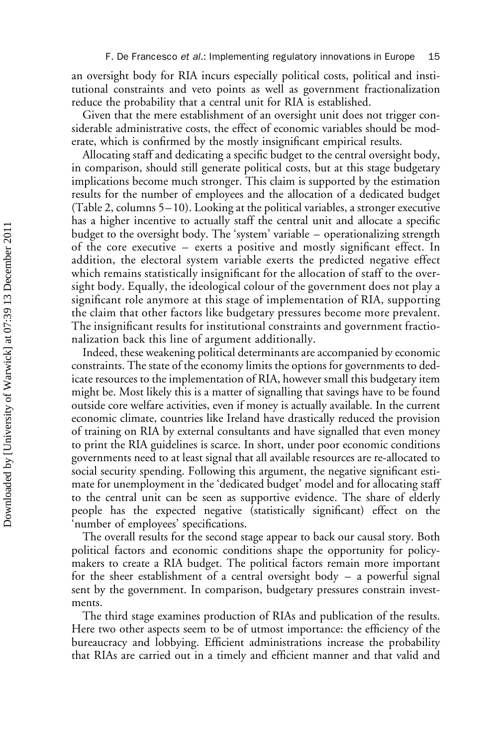an oversight body for RIA incurs especially political costs, political and institutional constraints and veto points as well as government fractionalization reduce the probability that a central unit for RIA is established.

Given that the mere establishment of an oversight unit does not trigger considerable administrative costs, the effect of economic variables should be moderate, which is confirmed by the mostly insignificant empirical results.

Allocating staff and dedicating a specific budget to the central oversight body, in comparison, should still generate political costs, but at this stage budgetary implications become much stronger. This claim is supported by the estimation results for the number of employees and the allocation of a dedicated budget (Table 2, columns 5– 10). Looking at the political variables, a stronger executive has a higher incentive to actually staff the central unit and allocate a specific budget to the oversight body. The 'system' variable – operationalizing strength of the core executive – exerts a positive and mostly significant effect. In addition, the electoral system variable exerts the predicted negative effect which remains statistically insignificant for the allocation of staff to the oversight body. Equally, the ideological colour of the government does not play a significant role anymore at this stage of implementation of RIA, supporting the claim that other factors like budgetary pressures become more prevalent. The insignificant results for institutional constraints and government fractionalization back this line of argument additionally.

Indeed, these weakening political determinants are accompanied by economic constraints. The state of the economy limits the options for governments to dedicate resources to the implementation of RIA, however small this budgetary item might be. Most likely this is a matter of signalling that savings have to be found outside core welfare activities, even if money is actually available. In the current economic climate, countries like Ireland have drastically reduced the provision of training on RIA by external consultants and have signalled that even money to print the RIA guidelines is scarce. In short, under poor economic conditions governments need to at least signal that all available resources are re-allocated to social security spending. Following this argument, the negative significant estimate for unemployment in the 'dedicated budget' model and for allocating staff to the central unit can be seen as supportive evidence. The share of elderly people has the expected negative (statistically significant) effect on the 'number of employees' specifications.

The overall results for the second stage appear to back our causal story. Both political factors and economic conditions shape the opportunity for policymakers to create a RIA budget. The political factors remain more important for the sheer establishment of a central oversight body – a powerful signal sent by the government. In comparison, budgetary pressures constrain investments.

The third stage examines production of RIAs and publication of the results. Here two other aspects seem to be of utmost importance: the efficiency of the bureaucracy and lobbying. Efficient administrations increase the probability that RIAs are carried out in a timely and efficient manner and that valid and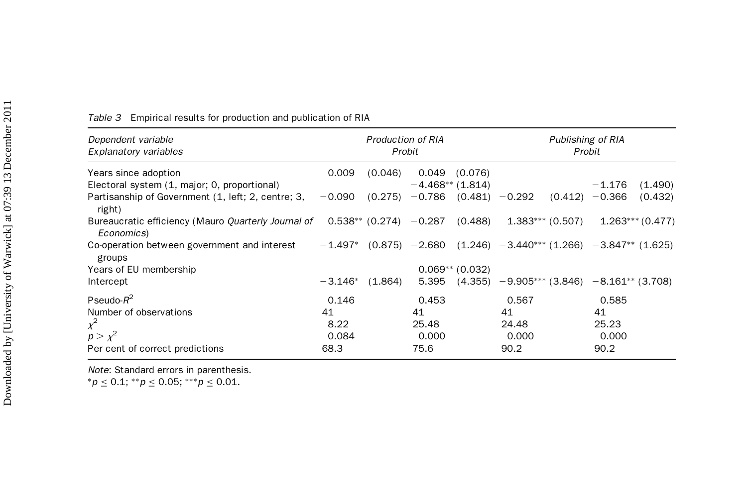| Dependent variable<br>Explanatory variables                                                  |           | <b>Production of RIA</b> | Probit           |                    | Publishing of RIA<br>Probit                                     |                    |          |                   |  |
|----------------------------------------------------------------------------------------------|-----------|--------------------------|------------------|--------------------|-----------------------------------------------------------------|--------------------|----------|-------------------|--|
| Years since adoption                                                                         | 0.009     | (0.046)                  | 0.049            | (0.076)            |                                                                 |                    |          |                   |  |
| Electoral system (1, major; 0, proportional)                                                 |           |                          |                  | $-4.468**$ (1.814) |                                                                 |                    | $-1.176$ | (1.490)           |  |
| Partisanship of Government (1, left; 2, centre; 3,<br>right)                                 | $-0.090$  |                          | $(0.275) -0.786$ |                    | $(0.481) - 0.292$                                               | (0.412)            | $-0.366$ | (0.432)           |  |
| Bureaucratic efficiency (Mauro Quarterly Journal of $0.538**$ (0.274) $-0.287$<br>Economics) |           |                          |                  | (0.488)            |                                                                 | $1.383***$ (0.507) |          | $1.263***(0.477)$ |  |
| Co-operation between government and interest<br>groups                                       | $-1.497*$ |                          |                  |                    | $(0.875) -2.680$ $(1.246) -3.440***$ (1.266) $-3.847**$ (1.625) |                    |          |                   |  |
| Years of EU membership                                                                       |           |                          |                  | $0.069**$ (0.032)  |                                                                 |                    |          |                   |  |
| Intercept                                                                                    | $-3.146*$ | (1.864)                  | 5.395            |                    | $(4.355)$ $-9.905***$ $(3.846)$ $-8.161**$ $(3.708)$            |                    |          |                   |  |
| Pseudo- $R^2$                                                                                | 0.146     |                          | 0.453            |                    | 0.567                                                           |                    | 0.585    |                   |  |
| Number of observations                                                                       | 41        |                          | 41               |                    | 41                                                              |                    | 41       |                   |  |
| $\chi^2$                                                                                     | 8.22      |                          | 25.48            |                    | 24.48                                                           |                    | 25.23    |                   |  |
| $p > \chi^2$                                                                                 | 0.084     |                          | 0.000            |                    | 0.000                                                           |                    | 0.000    |                   |  |
| Per cent of correct predictions                                                              | 68.3      |                          | 75.6             |                    | 90.2                                                            |                    | 90.2     |                   |  |

Table 3 Empirical results for production and publication of RIA

Note: Standard errors in parenthesis.

 ${}^*p \leq 0.1;$   ${}^{**}p \leq 0.05;$   ${}^{***}p \leq 0.01.$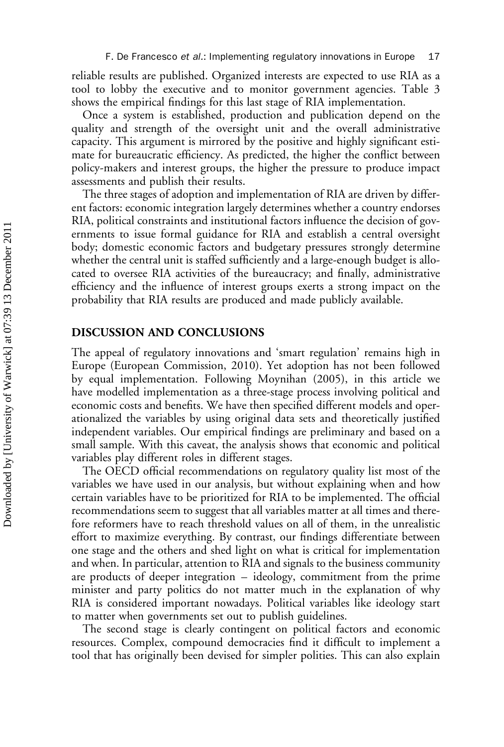reliable results are published. Organized interests are expected to use RIA as a tool to lobby the executive and to monitor government agencies. Table 3 shows the empirical findings for this last stage of RIA implementation.

Once a system is established, production and publication depend on the quality and strength of the oversight unit and the overall administrative capacity. This argument is mirrored by the positive and highly significant estimate for bureaucratic efficiency. As predicted, the higher the conflict between policy-makers and interest groups, the higher the pressure to produce impact assessments and publish their results.

The three stages of adoption and implementation of RIA are driven by different factors: economic integration largely determines whether a country endorses RIA, political constraints and institutional factors influence the decision of governments to issue formal guidance for RIA and establish a central oversight body; domestic economic factors and budgetary pressures strongly determine whether the central unit is staffed sufficiently and a large-enough budget is allocated to oversee RIA activities of the bureaucracy; and finally, administrative efficiency and the influence of interest groups exerts a strong impact on the probability that RIA results are produced and made publicly available.

### DISCUSSION AND CONCLUSIONS

The appeal of regulatory innovations and 'smart regulation' remains high in Europe (European Commission, 2010). Yet adoption has not been followed by equal implementation. Following Moynihan (2005), in this article we have modelled implementation as a three-stage process involving political and economic costs and benefits. We have then specified different models and operationalized the variables by using original data sets and theoretically justified independent variables. Our empirical findings are preliminary and based on a small sample. With this caveat, the analysis shows that economic and political variables play different roles in different stages.

The OECD official recommendations on regulatory quality list most of the variables we have used in our analysis, but without explaining when and how certain variables have to be prioritized for RIA to be implemented. The official recommendations seem to suggest that all variables matter at all times and therefore reformers have to reach threshold values on all of them, in the unrealistic effort to maximize everything. By contrast, our findings differentiate between one stage and the others and shed light on what is critical for implementation and when. In particular, attention to RIA and signals to the business community are products of deeper integration – ideology, commitment from the prime minister and party politics do not matter much in the explanation of why RIA is considered important nowadays. Political variables like ideology start to matter when governments set out to publish guidelines.

The second stage is clearly contingent on political factors and economic resources. Complex, compound democracies find it difficult to implement a tool that has originally been devised for simpler polities. This can also explain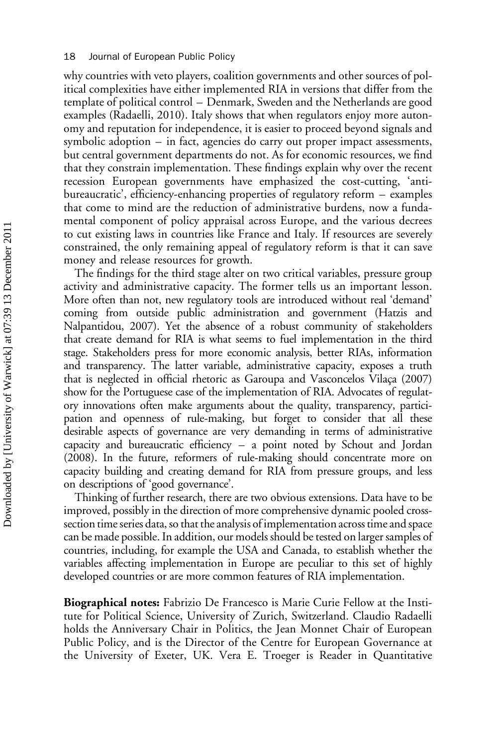why countries with veto players, coalition governments and other sources of political complexities have either implemented RIA in versions that differ from the template of political control – Denmark, Sweden and the Netherlands are good examples (Radaelli, 2010). Italy shows that when regulators enjoy more autonomy and reputation for independence, it is easier to proceed beyond signals and symbolic adoption – in fact, agencies do carry out proper impact assessments, but central government departments do not. As for economic resources, we find that they constrain implementation. These findings explain why over the recent recession European governments have emphasized the cost-cutting, 'antibureaucratic', efficiency-enhancing properties of regulatory reform – examples that come to mind are the reduction of administrative burdens, now a fundamental component of policy appraisal across Europe, and the various decrees to cut existing laws in countries like France and Italy. If resources are severely constrained, the only remaining appeal of regulatory reform is that it can save money and release resources for growth.

The findings for the third stage alter on two critical variables, pressure group activity and administrative capacity. The former tells us an important lesson. More often than not, new regulatory tools are introduced without real 'demand' coming from outside public administration and government (Hatzis and Nalpantidou, 2007). Yet the absence of a robust community of stakeholders that create demand for RIA is what seems to fuel implementation in the third stage. Stakeholders press for more economic analysis, better RIAs, information and transparency. The latter variable, administrative capacity, exposes a truth that is neglected in official rhetoric as Garoupa and Vasconcelos Vilaça (2007) show for the Portuguese case of the implementation of RIA. Advocates of regulatory innovations often make arguments about the quality, transparency, participation and openness of rule-making, but forget to consider that all these desirable aspects of governance are very demanding in terms of administrative capacity and bureaucratic efficiency – a point noted by Schout and Jordan (2008). In the future, reformers of rule-making should concentrate more on capacity building and creating demand for RIA from pressure groups, and less on descriptions of 'good governance'.

Thinking of further research, there are two obvious extensions. Data have to be improved, possibly in the direction of more comprehensive dynamic pooled crosssection time series data, so that the analysis of implementation across time and space can be made possible. In addition, our models should be tested on larger samples of countries, including, for example the USA and Canada, to establish whether the variables affecting implementation in Europe are peculiar to this set of highly developed countries or are more common features of RIA implementation.

Biographical notes: Fabrizio De Francesco is Marie Curie Fellow at the Institute for Political Science, University of Zurich, Switzerland. Claudio Radaelli holds the Anniversary Chair in Politics, the Jean Monnet Chair of European Public Policy, and is the Director of the Centre for European Governance at the University of Exeter, UK. Vera E. Troeger is Reader in Quantitative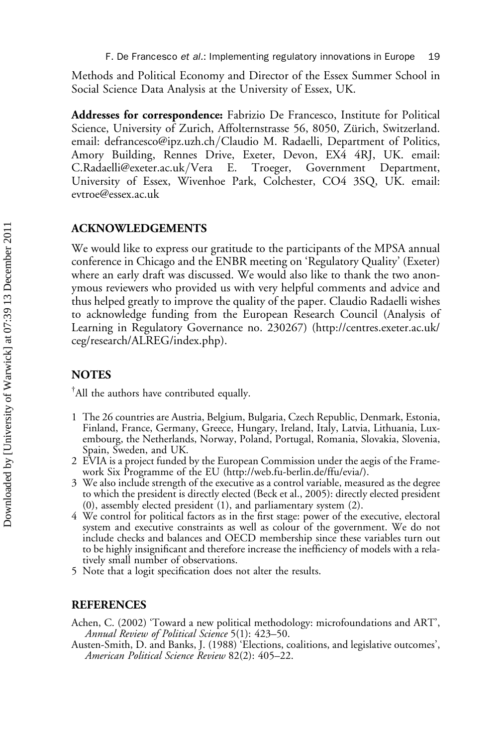Methods and Political Economy and Director of the Essex Summer School in Social Science Data Analysis at the University of Essex, UK.

Addresses for correspondence: Fabrizio De Francesco, Institute for Political Science, University of Zurich, Affolternstrasse 56, 8050, Zürich, Switzerland. email: defrancesco@ipz.uzh.ch/Claudio M. Radaelli, Department of Politics, Amory Building, Rennes Drive, Exeter, Devon, EX4 4RJ, UK. email: C.Radaelli@exeter.ac.uk/Vera E. Troeger, Government Department, University of Essex, Wivenhoe Park, Colchester, CO4 3SQ, UK. email: evtroe@essex.ac.uk

#### ACKNOWLEDGEMENTS

We would like to express our gratitude to the participants of the MPSA annual conference in Chicago and the ENBR meeting on 'Regulatory Quality' (Exeter) where an early draft was discussed. We would also like to thank the two anonymous reviewers who provided us with very helpful comments and advice and thus helped greatly to improve the quality of the paper. Claudio Radaelli wishes to acknowledge funding from the European Research Council (Analysis of Learning in Regulatory Governance no. 230267) ([http://centres.exeter.ac.uk/](http://centres.exeter.ac.uk/ceg/research/ALREG/index.php) [ceg/research/ALREG/index.php\)](http://centres.exeter.ac.uk/ceg/research/ALREG/index.php).

## **NOTES**

† All the authors have contributed equally.

- 1 The 26 countries are Austria, Belgium, Bulgaria, Czech Republic, Denmark, Estonia, Finland, France, Germany, Greece, Hungary, Ireland, Italy, Latvia, Lithuania, Luxembourg, the Netherlands, Norway, Poland, Portugal, Romania, Slovakia, Slovenia, Spain, Sweden, and UK.
- 2 EVIA is a project funded by the European Commission under the aegis of the Framework Six Programme of the EU ([http://web.fu-berlin.de/ffu/evia/\)](http://web.fu-berlin.de/ffu/evia/).
- 3 We also include strength of the executive as a control variable, measured as the degree to which the president is directly elected (Beck et al., 2005): directly elected president (0), assembly elected president (1), and parliamentary system (2).
- 4 We control for political factors as in the first stage: power of the executive, electoral system and executive constraints as well as colour of the government. We do not include checks and balances and OECD membership since these variables turn out to be highly insignificant and therefore increase the inefficiency of models with a relatively small number of observations.
- 5 Note that a logit specification does not alter the results.

#### REFERENCES

- Achen, C. (2002) 'Toward a new political methodology: microfoundations and ART', Annual Review of Political Science 5(1): 423–50.
- Austen-Smith, D. and Banks, J. (1988) 'Elections, coalitions, and legislative outcomes', American Political Science Review 82(2): 405–22.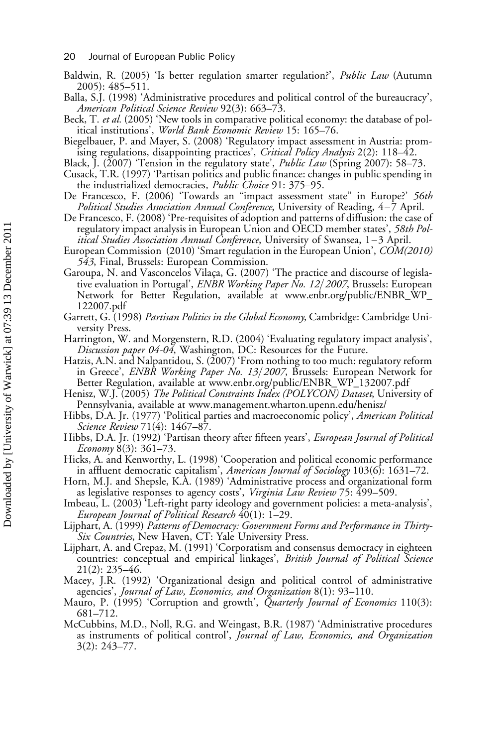- 20 Journal of European Public Policy
- Baldwin, R. (2005) 'Is better regulation smarter regulation?', Public Law (Autumn 2005): 485–511.
- Balla, S.J. (1998) 'Administrative procedures and political control of the bureaucracy', American Political Science Review 92(3): 663–73.
- Beck, T. et al. (2005) 'New tools in comparative political economy: the database of political institutions', World Bank Economic Review 15: 165–76.
- Biegelbauer, P. and Mayer, S. (2008) 'Regulatory impact assessment in Austria: promising regulations, disappointing practices', Critical Policy Analysis 2(2): 118-42.
- Black, J. (2007) 'Tension in the regulatory state', *Public Law* (Spring 2007): 58–73.
- Cusack, T.R. (1997) 'Partisan politics and public finance: changes in public spending in the industrialized democracies, *Public Choice* 91: 375–95.
- De Francesco, F. (2006) 'Towards an "impact assessment state" in Europe?' 56th Political Studies Association Annual Conference, University of Reading, 4–7 April.
- De Francesco, F. (2008) 'Pre-requisites of adoption and patterns of diffusion: the case of regulatory impact analysis in European Union and OECD member states', 58th Political Studies Association Annual Conference, University of Swansea, 1–3 April.
- European Commission (2010) 'Smart regulation in the European Union', COM(2010) 543, Final, Brussels: European Commission.
- Garoupa, N. and Vasconcelos Vilaça, G. (2007) 'The practice and discourse of legislative evaluation in Portugal', *ENBR Working Paper No. 12/2007*, Brussels: European Network for Better Regulation, available at [www.enbr.org/public/ENBR\\_WP\\_](www.enbr.org/public/ENBR_WP_122007.pdf) [122007.pdf](www.enbr.org/public/ENBR_WP_122007.pdf)
- Garrett, G. (1998) Partisan Politics in the Global Economy, Cambridge: Cambridge University Press.
- Harrington, W. and Morgenstern, R.D. (2004) 'Evaluating regulatory impact analysis', Discussion paper 04-04, Washington, DC: Resources for the Future.
- Hatzis, A.N. and Nalpantidou, S. (2007) 'From nothing to too much: regulatory reform in Greece', ENBR Working Paper No. 13/2007, Brussels: European Network for Better Regulation, available at [www.enbr.org/public/ENBR\\_WP\\_132007.pdf](www.enbr.org/public/ENBR_WP_132007.pdf)
- Henisz, W.J. (2005) The Political Constraints Index (POLYCON) Dataset, University of Pennsylvania, available at www.management.wharton.upenn.edu/henisz/
- Hibbs, D.A. Jr. (1977) 'Political parties and macroeconomic policy', American Political Science Review 71(4): 1467–87.
- Hibbs, D.A. Jr. (1992) 'Partisan theory after fifteen years', European Journal of Political Economy 8(3): 361–73.
- Hicks, A. and Kenworthy, L. (1998) 'Cooperation and political economic performance in affluent democratic capitalism', American Journal of Sociology 103(6): 1631–72.
- Horn, M.J. and Shepsle, K.A. (1989) 'Administrative process and organizational form as legislative responses to agency costs', Virginia Law Review 75: 499-509.
- Imbeau, L. (2003) 'Left-right party ideology and government policies: a meta-analysis', European Journal of Political Research 40(1): 1–29.
- Lijphart, A. (1999) Patterns of Democracy: Government Forms and Performance in Thirty-Six Countries, New Haven, CT: Yale University Press.
- Lijphart, A. and Crepaz, M. (1991) 'Corporatism and consensus democracy in eighteen countries: conceptual and empirical linkages', British Journal of Political Science 21(2): 235–46.
- Macey, J.R. (1992) 'Organizational design and political control of administrative agencies', Journal of Law, Economics, and Organization 8(1): 93–110.
- Mauro, P. (1995) 'Corruption and growth', Quarterly Journal of Economics 110(3): 681–712.
- McCubbins, M.D., Noll, R.G. and Weingast, B.R. (1987) 'Administrative procedures as instruments of political control', Journal of Law, Economics, and Organization 3(2): 243–77.